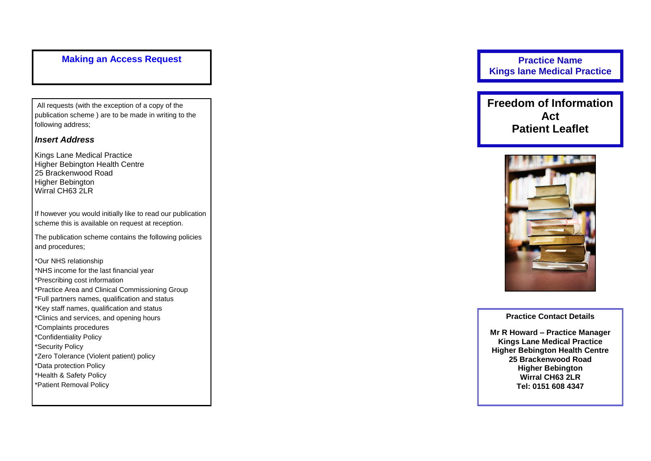## **Making an Access Request**

All requests (with the exception of a copy of the publication scheme ) are to be made in writing to the following address;

#### *Insert Address*

Kings Lane Medical Practice Higher Bebington Health Centre 25 Brackenwood Road Higher Bebington Wirral CH63 2LR

If however you would initially like to read our publication scheme this is available on request at reception.

The publication scheme contains the following policies and procedures;

\*Our NHS relationship \*NHS income for the last financial year \*Prescribing cost information \*Practice Area and Clinical Commissioning Group \*Full partners names, qualification and status \*Key staff names, qualification and status \*Clinics and services, and opening hours \*Complaints procedures \*Confidentiality Policy \*Security Policy \*Zero Tolerance (Violent patient) policy \*Data protection Policy \*Health & Safety Policy \*Patient Removal Policy

**Practice Name Kings lane Medical Practice**

**Freedom of Information Act Patient Leaflet**



**Practice Contact Detail s**

**Mr R Howard – Practice Manager Kings Lane Medical Practice Higher Bebington Health Centre 25 Brackenwood Road Higher Bebington Wirral CH63 2LR Tel: 0151 608 4347**